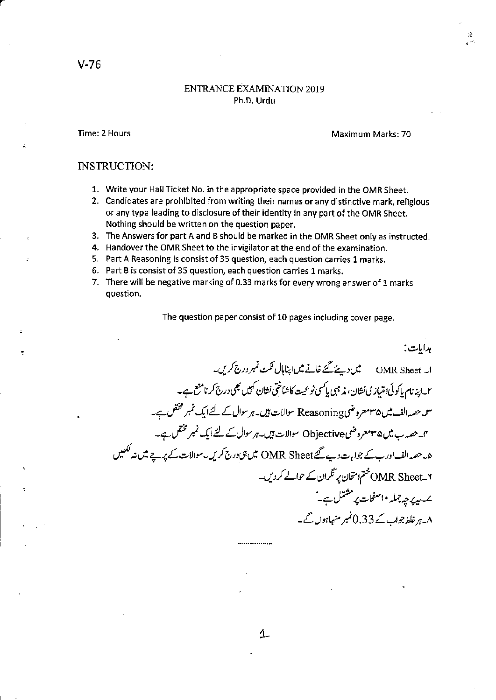## **ENTRANCE EXAMINATION 2019** Ph.D. Urdu

Time: 2 Hours

Maximum Marks: 70

## **INSTRUCTION:**

- 1. Write your Hall Ticket No. in the appropriate space provided in the OMR Sheet.
- 2. Candidates are prohibited from writing their names or any distinctive mark, religious or any type leading to disclosure of their identity in any part of the OMR Sheet. Nothing should be written on the question paper.
- 3. The Answers for part A and B should be marked in the OMR Sheet only as instructed.
- 4. Handover the OMR Sheet to the invigilator at the end of the examination.
- 5. Part A Reasoning is consist of 35 question, each question carries 1 marks.
- 6. Part B is consist of 35 question, each question carries 1 marks.
- 7. There will be negative marking of 0.33 marks for every wrong answer of 1 marks question.

The question paper consist of 10 pages including cover page.

مدايات: ا۔ OMR Sheet میں دیئے گئے خانے میں اپناہال ٹکٹ نمبر درج کریں۔ ٢۔اپنانام پاکوئی؛ متیازی نشان، مذہبی پاکسی نوعیت کاشاختی نشان کہیں بھی درج کرنامنع ہے۔ س حصہ الف میں ۳۵معروض Reasoning سوالات ہیں۔ہرسوال کے لئے ایک نمبر مختص ہے۔ یں۔ حصہ ب میں ۳۵مور وضی Objective سوالات ہیں۔ ہر سوال کے لئے ایک نمبر مختص۔ ہے۔ ھ۔حصہ الف اور ب کے جوابات دیے گئے OMR Sheet میں ہی درج کریں۔سوالات کے پر ہے میں نہ لکھیں MR Sheet\_۲ ختم امتخان پر تگران کے حوالے کر دیں۔ ے۔پدیرچہ جملہ •اصفحات پر مشتمل ہے۔ ` ۸۔ہر غلط جواب کے 0.33 نمبر منہاہوں گے۔

.................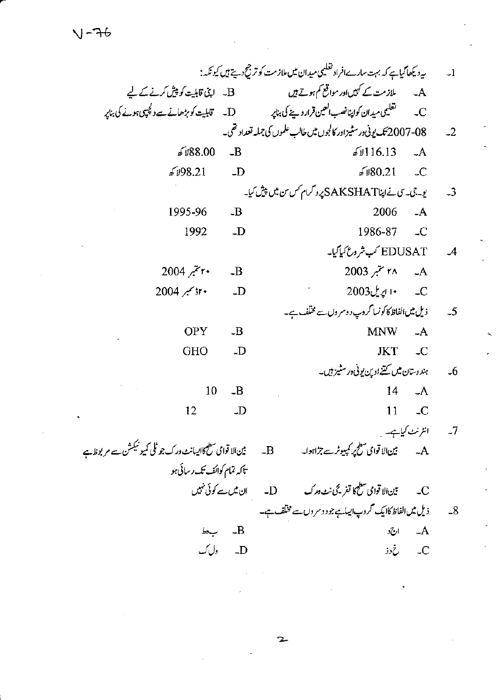|                                                               |                    | ىيەدىكى <i>ھاڭياپ كەبہت سادےافرادى</i> تىلىمى مىيدان مىں ملازمت كوتر جىچ دىپتے ہيں كيونكە :                | $-1$ |
|---------------------------------------------------------------|--------------------|------------------------------------------------------------------------------------------------------------|------|
|                                                               |                    | A۔ ملازمت کے کہیںاور مواقع کم ہوتے ہیں ۔ B۔ اپنی قابلیت کو پیش کرنے کے لیے                                 |      |
|                                                               |                    | تغلیمی میدان کواپنانصب العین قرار دینے کی بناپر ہے مسل ہے۔ تابلیت کو بڑھانے سے دلچپی ہونے کی بناپر<br>$-C$ |      |
|                                                               |                    | 08-2007 تىك يونى ورسٹيزاور كالجوں ميں طالب علموں كى جمليہ تعداد تھى۔                                       | $-2$ |
| 88.00 كانا كە                                                 | $-B$               | 6116.13<br>$-A$                                                                                            |      |
| 98.21 کھ                                                      | $-$ D              | $\sqrt{6}$ \$ 0.21<br>$\mathcal{L}$                                                                        |      |
|                                                               |                    | یو۔ تی۔ سی نےاپٹاAKSHAT پروگرام کس من میں پیش کیا۔                                                         | $-3$ |
| 1995-96                                                       | $-B$               | 2006<br>$-A$                                                                                               |      |
| 1992                                                          | $\Box$             | 1986-87<br>$\overline{\phantom{a}}$                                                                        |      |
|                                                               |                    | EDUSAT کب شروع کیا گیا۔                                                                                    | $-4$ |
| ٢٠ ستير 2004                                                  | $-B$               | A۔ ۲۸ سمبر 2003                                                                                            |      |
| ٢٠ وسمبر 2004                                                 | $\overline{D}$     | $2003$ ل اړيل                                                                                              |      |
|                                                               |                    | ذیل میں الفاظ کا کونسا گروپ د وسروں سے مختلف ہے۔                                                           | $-5$ |
| <b>OPY</b>                                                    | $-B$               | <b>MNW</b><br>$-A$                                                                                         |      |
| <b>GHO</b>                                                    | $-D$               | <b>JKT</b><br>$\mathcal{L}$                                                                                |      |
|                                                               |                    | ہند دستان میں کتنے اوپن یونی در سٹیز ہیں۔                                                                  | $-6$ |
| 10                                                            | $-B$               | $-A$<br>14                                                                                                 |      |
| 12                                                            | $\overline{D}$     | 11<br>$\overline{\phantom{a}}$                                                                             |      |
|                                                               |                    | انٹرنٹ کیاہے۔                                                                                              | $-7$ |
| بین الا قوامی سطح کااپیانٹ درک جو ٹلی کمیو نیکشن سے مر بوظاہے |                    | $-B$                                                                                                       |      |
| تاکہ تمام کوائف تک رسائی ہو                                   |                    |                                                                                                            |      |
|                                                               |                    |                                                                                                            |      |
|                                                               |                    | 8۔ ذیل میں الفاظ کاایک محروب ایساہے جو دوسر وں سے مختلف ہے۔                                                |      |
|                                                               | $b \rightarrow -B$ | $-A$<br>ارج د                                                                                              |      |
|                                                               | D۔ ول ک            | C۔ خ دذ                                                                                                    |      |

 $\label{eq:2.1} \frac{1}{\sqrt{2}}\left(\frac{1}{\sqrt{2}}\right)^{2} \left(\frac{1}{\sqrt{2}}\right)^{2} \left(\frac{1}{\sqrt{2}}\right)^{2} \left(\frac{1}{\sqrt{2}}\right)^{2} \left(\frac{1}{\sqrt{2}}\right)^{2} \left(\frac{1}{\sqrt{2}}\right)^{2} \left(\frac{1}{\sqrt{2}}\right)^{2} \left(\frac{1}{\sqrt{2}}\right)^{2} \left(\frac{1}{\sqrt{2}}\right)^{2} \left(\frac{1}{\sqrt{2}}\right)^{2} \left(\frac{1}{\sqrt{2}}\right)^{2} \left(\$ 

 $\mathbf{r}$ 

 $\ddot{\phantom{0}}$ 

 $\mathcal{L}^{\text{max}}_{\text{max}}$  ,  $\mathcal{L}^{\text{max}}_{\text{max}}$ 

 $\ddot{\phantom{a}}$ 

 $\sim$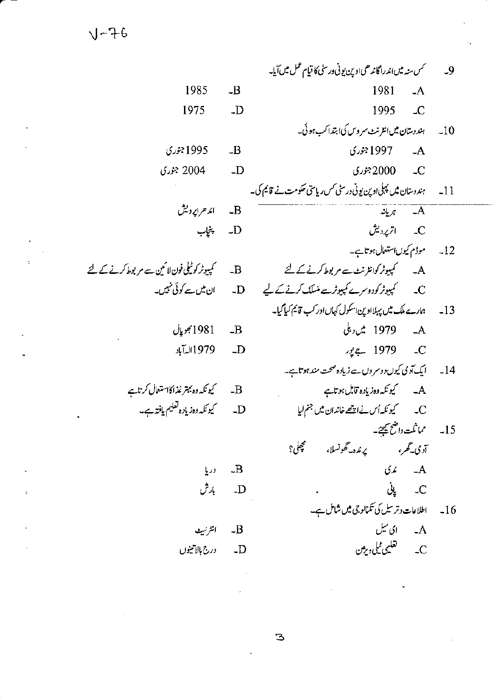$1 - 76$ 

سمس سنه میں اندراگاندھی ادبین بونی وریٹی کا قیام عمل میں آیا۔  $\overline{9}$ 1981  $\overline{\mathbf{B}}$  $-A$ 1995  $\overline{D}$  $\mathcal{L}$ ہند دستان میں انٹرنٹ سروس کی ابتدا کب ہو ئی۔  $-10$ .<br>4- 1997 جوري  $-B$ 2000جوري  $\overline{\phantom{a}}$ ہندوستان میں پہلی اوپن یونی درسٹی کس ریاستی حکومت نے قائم کی۔  $-11$ — ہریانہ  $\overline{\mathcal{A}}$ C\_\_\_\_ اترپردیش 12۔ موڈم کیوںاستعال ہوتاہے۔ A۔ کمپیوٹر کوانٹرنٹ سے مربوط کرنے کے لئے ہمارے ملک میں پہلااوین اسکول کہاں اور کب قائم کیا گیا۔  $-13$ A۔ 1979 میں دہلی  $\frac{1}{2}$  1979 C  $\Box$ ایک آدمی کیوں دوسروں سے زیادہ صحت مند ہوتاہے۔  $-14$ A۔ کیونکہ وہ زیادہ قابل ہوتاہے J. 15۔ مماثلت داضح تیجئے۔ يرنده-گھونسلا، محجلى؟ آدمی۔گھر، ندې  $-A$  $-B$ C\_ يانى  $-$ D اطلاعات وترسیل کی تکمالوجی میں شامل ہے۔  $-16$ A۔ ای میل  $-B$ C\_\_\_\_تغليمي <sup>م</sup>يليورم<sup>ين</sup>  $-D$ 

1995 جوري 2004 جوري  $-D$ اند حرایردیش  $-B$ پنجاب  $-D$ کیپیوٹر کوٹیلی فون لائمین سے مر بوط کرنے کے لئے  $-B$ 1981 بھوپال  $-B$ 1979الەآباد

1985

1975

دريا

بارش

انثرنيك

درج بالأتينول

З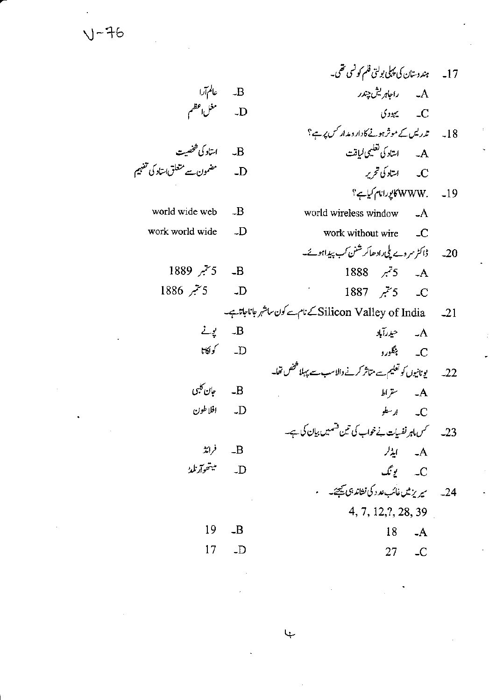$V-76$ 

|           | 17۔ پندوستان کی پہلی بولتی فلم کو نسی تھی۔                      |                        |                                    |
|-----------|-----------------------------------------------------------------|------------------------|------------------------------------|
|           | A۔ راجاہریش چندر                                                |                        | B۔ عالم آرا<br>D۔ مغل اعظم         |
|           | $\mathcal{L}$ $\mathcal{L}$                                     |                        |                                    |
|           | 18۔ ت <i>دریس کے موثر ہونے کادار دیدار کس پر</i> ہے؟            |                        |                                    |
|           | A۔ استاد کی تعلیمی لیاقت                                        |                        | B۔ استاد کی شخصیت                  |
|           | C۔ استاد کی تحریر                                               | $\Box$                 | مضمون سے متعلق استاد کی تفہیم      |
|           | 19۔ WWW. کایورانام کیاہے؟                                       |                        |                                    |
|           | world wireless window -A                                        |                        | world wide web $-B$                |
|           |                                                                 | $\Box$                 | work world wide                    |
|           | 20۔ ڈاکٹر سروے پلی رادھاکرشنن کب پیداہو ئے۔                     |                        |                                    |
|           | 1888 $\vec{z}$ 5 $\vec{A}$                                      |                        | 1889 - 5 <sup>س</sup> بر 1889      |
|           | 1887 جيمبر 1887 – $C$                                           |                        | D۔ 5 تنبر 1886                     |
|           | Silicon Valley of India _ _21 كے نام سے كون ساشہر جانا جاتا ہے۔ |                        |                                    |
|           | A۔ حیدرآباد                                                     |                        | B۔ یونے                            |
|           | C____ <sup>ب</sup> نگورو                                        | D کول <del>گان</del> ا |                                    |
|           | 22۔ یونانیوں کو تعلیم سے متاثر کرنے والاسب سے پہلا تفخص قفا۔    |                        |                                    |
|           | $\mathbb{A}$ سقراط                                              |                        | B۔ جان کلبی                        |
|           | C ارسطو                                                         |                        | D_ افلاطون                         |
|           | 23۔ سمس ماہر نفسیات نے خواب کی تین قسمیں بیان کی ہے۔            |                        |                                    |
| A۔ ایڈلر  |                                                                 |                        | $\sharp$ $\downarrow$ $\downarrow$ |
|           | C۔ یونگ                                                         | $\Box$                 | ميتھوآرنلد                         |
|           | ۔<br>24۔ سیریز میں غائب عد د کی نشاند ہی <u>ب</u> ھتے۔          |                        |                                    |
|           | 4, 7, 12, ?, 28, 39                                             |                        |                                    |
| $-A$      | 18                                                              | $-B$                   | 19                                 |
| $27$ $-C$ |                                                                 | $\Box$ D               | 17                                 |
|           |                                                                 |                        |                                    |

 $\downarrow$ 

 $\hat{\boldsymbol{\epsilon}}$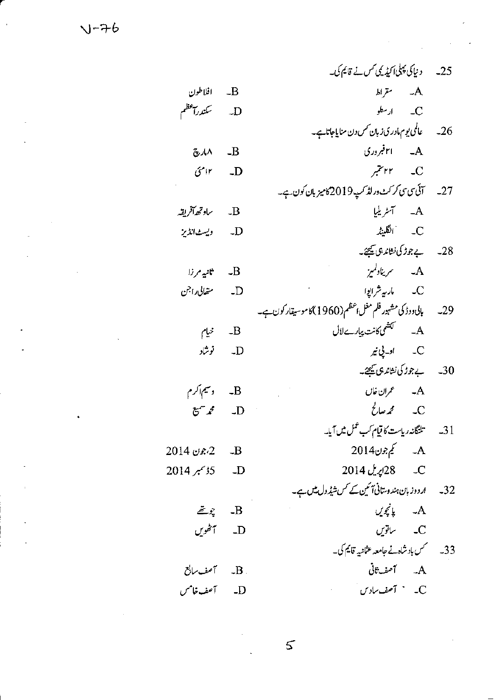|                                       | 25۔ دنیا کی پہلی اکیڈیمی کس نے قائم کی۔                     |  |
|---------------------------------------|-------------------------------------------------------------|--|
| - افلاطون $\mathbf B$                 | $A$ ۔ مقراط                                                 |  |
| D- سکندرآ <sup>عظ</sup> م             | $\mathcal{L}$ $\mathcal{L}$                                 |  |
|                                       |                                                             |  |
| $\mathbb{Z}^{\mathcal{A}}$ / $\wedge$ | $A = \frac{1}{2}$ ا ۲۱ فبروری                               |  |
| $O^{\prime}$ ۱۲ - LD                  | $\mathcal{F}$ ۲۲ می                                         |  |
|                                       | 27۔ آئی کی سی کر کٹ ورلڈ کپ2019کامیز بان کون ہے۔            |  |
| لاسيس ساوتهما آفريقه                  | A۔ آسٹریلی <u>ا</u>                                         |  |
| D- ويستMتان                           | انگلینڈ ( $C$                                               |  |
|                                       | 28۔ یہ جوڑ کی نشاند ہی کیجیئے۔                              |  |
| - ثانية مرزا $\mathbf{B}$             | A۔ سریناولمیز                                               |  |
| D۔ متعالی راجن                        | C مارہ شرابوا                                               |  |
|                                       | 29۔ بالی دوڈ کی مشہور فلم مغل، عظیم(1960)کا موسیقار کون ہے۔ |  |
| $\mathbb{R}$ ۔ خیام                   | A۔ لَکَشَمیکائت پیارےلال                                    |  |
| D۔ نوشاد                              | C۔ اولے نی <sub>م</sub>                                     |  |
|                                       | 30_ پەھەرىكى نىثاندىق كىيىچىك                               |  |
| B- وسيم <sub>ا</sub> كرم              | A۔ عمران خان                                                |  |
| $E^{\sim}$ $\mathcal{L}$ $\sim$ $D$   | $\zeta$ $\sim$ $\zeta$ $\sim$ $\sim$ $\sim$                 |  |
|                                       | 31۔ تلنگانہ ریاست کا قیام کب عمل میں آیا۔                   |  |
| 2 - 2،جون 2014                        | A۔ کیم جون2014                                              |  |
| D - 5ڈ سمبر 2014                      | C_ 2014 پریل 2014                                           |  |
|                                       | 32۔ اردوز بان ہندوستانی <i>آئین کے کس شیڈ</i> ول میں ہے۔    |  |
| $\bar{\mathcal{Z}}$ , $\hat{Z}$ $-B$  | A۔ پانچویں                                                  |  |
| D_ أنھُويں                            | C۔ ساتویں                                                   |  |
|                                       | 33۔ سمس باد شاہ نے جامعہ عثانیہ قائیم کی۔                   |  |
|                                       | A۔ آصف†فی                                                   |  |
| D- آصف خامس                           | C۔ ` آصف سادس`                                              |  |
|                                       |                                                             |  |

 $\frac{1}{\sqrt{2}}$ 

 $\bar{z}$ 

 $\bar{\bar{z}}$ 

 $V - 76$ 

 $\ddot{\phantom{1}}$ 

 $\bar{1}$ 

 $\mathsf{S}$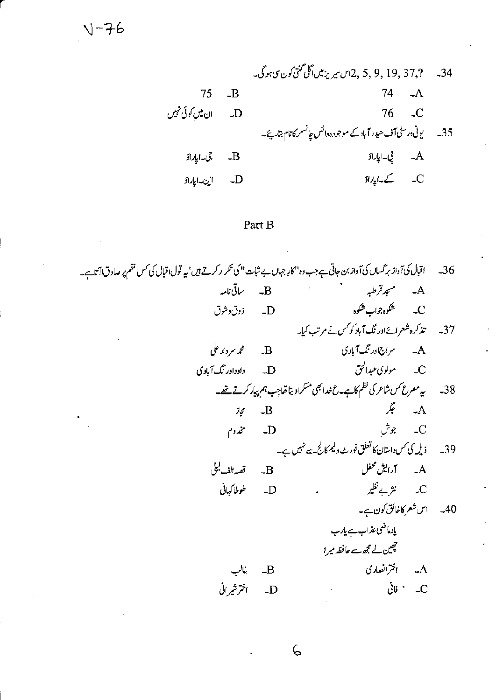34 - 37, ? , 9, 19, 5, 7 اس سیریز میں آگلی گنتی کون سی ہو گی۔  $74 - A$  $-B$ 75 ان میں کوئی نہیں 76  $\overline{\phantom{a}}$  $\Box$ 35۔ یونی ورسٹی آف *حید ر*آباد کے موجود ہ<sup>وائس</sup> چانسلر کانام بتائیے۔ .<br>A\_ يى-ايارادَ جى-اياراؤ  $-B$ أين-اياراؤ  $\Box$ 

## Part B

اقبال کی آواز برگسال کی آواز بن جاتی ہے جب دہ''کارِ جہاں بے ثبات '' کی تکرار کرتے ہیں' یہ قول اقبال کی کس نظم پر صادق اآتا ہے۔  $-36$ -<br>B- ساقى نامە A۔ مسجد قرطبہ ۔<br>C۔ شکوہ جواب شکوہ D- ذوق وشوق 37۔ تذکرہ شعرائےاور نگ آباد کو *کس نے مرتب کی*ا۔ **B** محمد سر دار علی A۔ سراج اور نگ آباد ک D۔ داوراور نگ آبادی 38۔ یہ مصرع *کس شاعر* کی نظم کاہے۔ عضدا بھی مسکراد پتاتھاجب ہم پیار کرتے تھے۔ A۔ عگر  $\overline{B}$ حجاز C۔ جوش مخدوم  $-D$ 39۔ ذیل کی *کس د*استان کا تعلق فورث ولیم کالج سے نہیں ہے۔ A۔ آرایش محفل قصه الف ليلي  $\overline{B}$ C۔ نثر بے نظیر D\_ طوطاكهاني 40۔ اس شعر کاخائق کون ہے۔ یادماضی عذاب ہے پارب حچین لے مجھ سے حافظہ میرا A۔ اخترانصاری  $-B$ غالب  $\dot{\partial}$ تا $C$ D- اخترشیرانی

6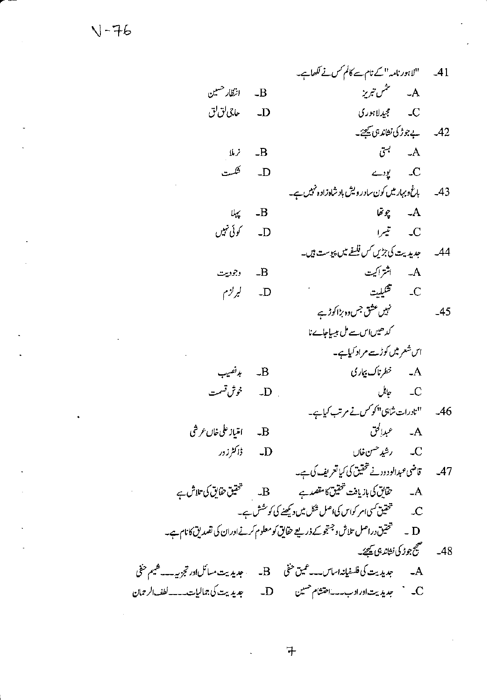"لاہور نامہ" کے نام سے کالم *کس نے لکھ*اہے۔  $-41$ A۔ مثمن تبریز  $B$ ۔ انتظار حسین C\_\_\_\_ مجيدلاہوري D\_\_\_\_\_*ماجي لق*الق 42\_ پے جوڑ کی نشاند ہی کیجئے۔  $\mathcal{F}$   $\mathcal{A}$ فرملا  $-B$ كلست  $\leftarrow$   $\mathcal{L}$  $\Box$ 43۔ پاغ د بہار میں کون سادر ویش باد شاہ زادہ نہیں ہے۔ A۔ یونھا  $-B$ يهلا کوئی تہیں  $\Box$ 44۔ چدیدیت کی جڑیں *کس فلنے میں پی*وست ہیں۔ A۔ اثتراکیت وجوديت  $-B$ C ھيليت ليرلزم  $\Box$ نہیں عشق جس وہ ہڑا کوڑے  $-45$ کدھیںاس سے مل بیساجاے نا اس شعر میں کوڑے مراد کیاہے۔ A۔ خطرناک بیاری بدنصيب  $\overline{\mathbf{B}}$ C\_ حائل \_ D\_ خوش قسمت 46۔ "نادرات شاہی" کو *کس نے مرتب کیاہے۔* B- امتياز على خا*ن عر*شى D- ڈاکٹرزور ل رشيد حسن خال 47۔ قاضی عبدالودود نے تحقیق کی کیا تعریف کی ہے۔ D \_ تحقيق دراصل تلاش وجستجوكے ذريعے حقايق كومعلوم كرنےاوران كى تصديق كانام ہے۔ 48۔ مستج جوڑ کی نشاند ہی <u>ہے۔</u> A۔ جدیدیت کی فلسفیانہ اساس۔۔گین حفی B۔ جدیدیت مسائلان پورتجزیہ۔۔۔شیم حفی 

 $\pm$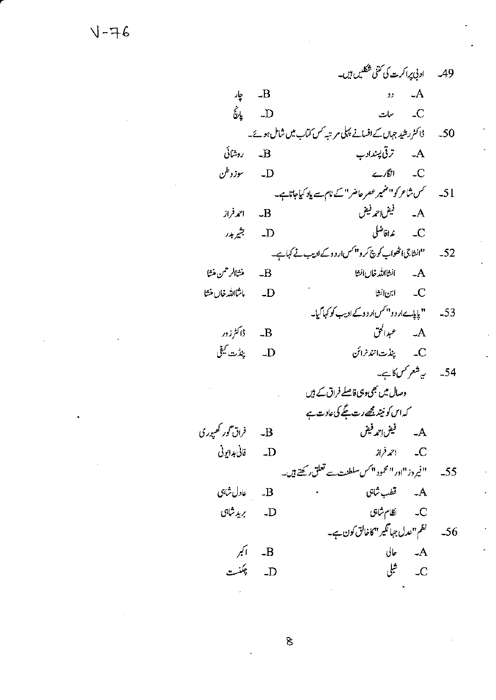$\delta$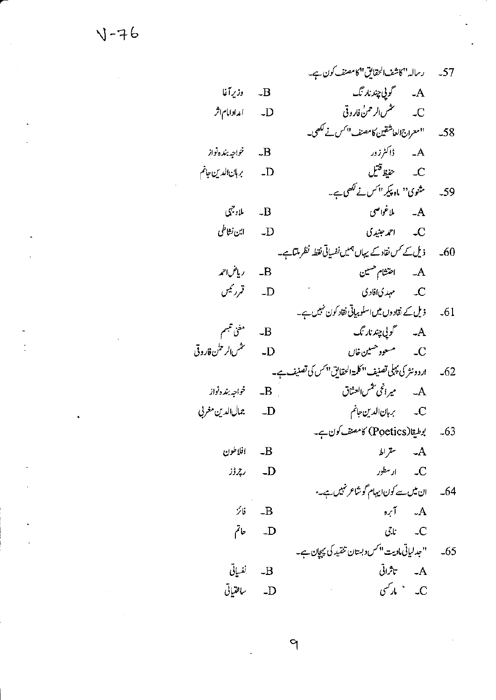رساله "كاشف الحقايق" كامصنف كون ہے۔  $-57$ وزيرآغا A۔ گوپی چند نار تگ  $-B$ أعدادامام اثر  $\overline{\mathbf{D}}$ "معراج العاشقين كامصنف" كس نے لکھی۔  $-58$ .<br>A ئاڭىززور خواجه بنده نواز  $-B$ C حفيظ قتيل بربان الدين جانم  $-D$ مثنوی<sup>د</sup>' ماہ پکی<sup> ایم</sup>س نے لکھی ہے۔ - 59 ملاغواصي ملادجهى  $\mathcal{A}$  $-B$ ابن نشاطي  $\Box$ C۔ احمہ جنیدی ذیل کے کس نقاد کے یہاں ہمیں نفسیاتی نقطہ نظر ملتاہے۔  $-60$ رياض1حمه احتشام حسين  $-A$  $-B$ قمررئيس مہدی افادی  $\overline{\phantom{a}}$  $-D$ ذیل کے نقاد وں میں اسلوبیاتی نقاد کون نہیں ہے۔  $-61$ مغنى تتبسم A۔ گولي چند نار نگ  $\overline{B}$ تخس الرحلن فاروقي  $\overline{D}$ ار دونثر کی پہلی تصنیف ''کلمۃالحقایق''کس کی تصنیف ہے۔  $-62$ A۔ یرا<sup>ن</sup>ی شمالعثاق خواجه بنده نواز  $-B$ جمال الدين مغربي  $-$ D C۔ برہان الدین جانم بوطيقا(Poetics) كامصنف كون ہے۔  $-63$ افلاطون  $\mathcal{A}$ سقراط  $-B$  $\mu$   $\sim$   $\mu$   $\sim$   $\sim$   $\sim$ رېزۇز  $-$ D ان میں سے کون ایہام گوشاعر نہیں ہے۔  $-64$  $\mathcal{A}$   $\mathcal{A}$ 分  $-B$ عاتم  $\overline{D}$ ناچي  $\overline{\phantom{a}}$ " جدلیاتی مادیت " کس دبستان تنقید کی پیچان ہے۔  $-65$ نفسياتى A۔ تاثراتی  $-B$  $\mathcal{L} \subset \mathcal{L}$ ساختياتي  $\Box$ 

 $\mathcal{P}$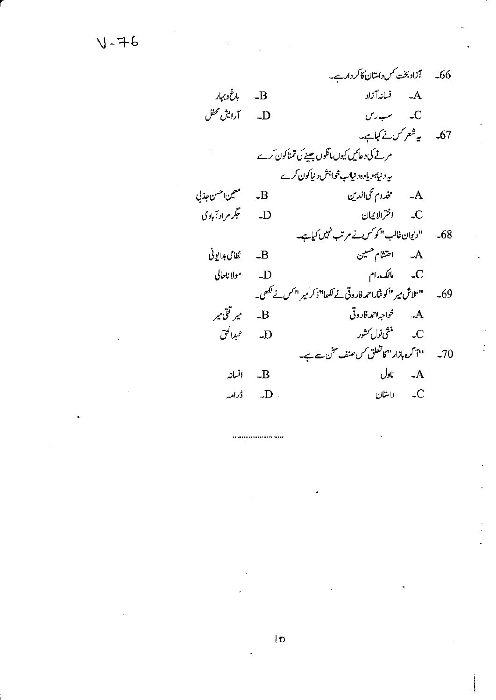باغ وبهار  $-B$ آرايش محفل  $U \rightarrow C$  $\Box$ 67۔ یہ شعر کس نے کہاہے۔ مرنے کی دعائیں کیوں مانگوں جینے کی تمناکون کرے ىيە د نيابو ياوەد نيالب خواہش د نيا كون كرے A۔ مخدوم محیالدین معين احسن جذلي  $\overline{\mathbf{B}}$ ځگر مراد آبادی C اخترالا یمان  $\Box$ '' دیوان غالب ''کو<sup>کس</sup> نے مرتب <sup>قہ</sup>یں کیاہے۔  $-68$ A۔ اختشام حسین نظامی بدایونی  $-B$ C مالک دام مولاناحالي  $\Box$ " تلاش میر "کوشاراحمہ فاروقی نے لکھا" ذکر میر "کس نے لکھی۔  $-69$ میر تقی میر \_\_<br>A\_\_\_\_*خو*اجه<sup>1</sup>حمدفار وقي  $\overline{\mathbf{B}}$ D- عبدالحق 70۔ پہنچ مہم کرہ ہازار ''کاتعلق کس صنف سخن ہے ہے۔  $J$ باول ـ A افسانہ  $-B$  $\mathcal{L}$   $\mathcal{L}$   $\mathcal{D}$  .  $\overline{\phantom{a}}$ داستان